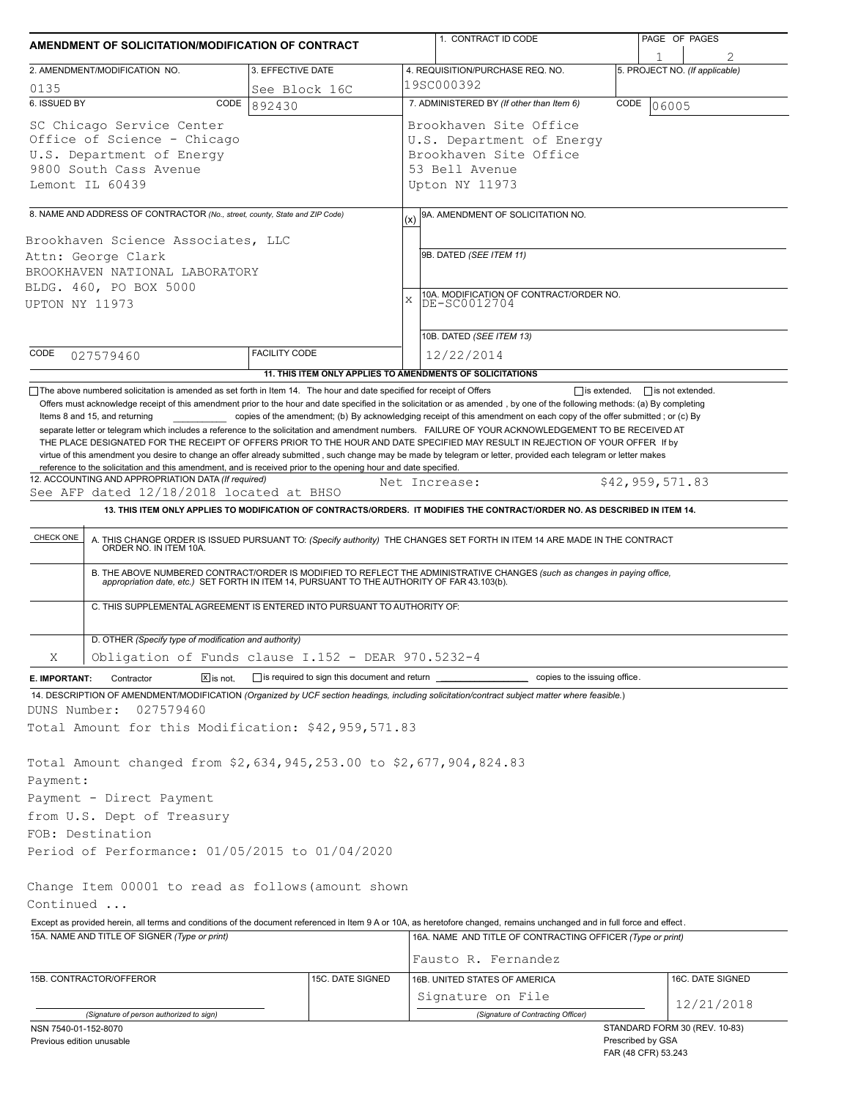| AMENDMENT OF SOLICITATION/MODIFICATION OF CONTRACT                                                                                                                                                                                |                                                     | 1. CONTRACT ID CODE                                                                                                                                                                                                                                                                                                                                                                                                                                                                                                                                                                                       | PAGE OF PAGES                                      |  |  |  |  |
|-----------------------------------------------------------------------------------------------------------------------------------------------------------------------------------------------------------------------------------|-----------------------------------------------------|-----------------------------------------------------------------------------------------------------------------------------------------------------------------------------------------------------------------------------------------------------------------------------------------------------------------------------------------------------------------------------------------------------------------------------------------------------------------------------------------------------------------------------------------------------------------------------------------------------------|----------------------------------------------------|--|--|--|--|
| 2. AMENDMENT/MODIFICATION NO.                                                                                                                                                                                                     | 3. EFFECTIVE DATE                                   | 4. REQUISITION/PURCHASE REQ. NO.                                                                                                                                                                                                                                                                                                                                                                                                                                                                                                                                                                          | 5. PROJECT NO. (If applicable)                     |  |  |  |  |
| 0135                                                                                                                                                                                                                              | See Block 16C                                       | 19SC000392                                                                                                                                                                                                                                                                                                                                                                                                                                                                                                                                                                                                |                                                    |  |  |  |  |
| 6. ISSUED BY<br>CODE                                                                                                                                                                                                              | 892430                                              | 7. ADMINISTERED BY (If other than Item 6)<br>CODE<br>06005                                                                                                                                                                                                                                                                                                                                                                                                                                                                                                                                                |                                                    |  |  |  |  |
| SC Chicago Service Center<br>Office of Science - Chicago<br>U.S. Department of Energy<br>9800 South Cass Avenue<br>Lemont IL 60439                                                                                                |                                                     | Brookhaven Site Office<br>U.S. Department of Energy<br>Brookhaven Site Office<br>53 Bell Avenue<br>Upton NY 11973                                                                                                                                                                                                                                                                                                                                                                                                                                                                                         |                                                    |  |  |  |  |
| 8. NAME AND ADDRESS OF CONTRACTOR (No., street, county, State and ZIP Code)                                                                                                                                                       |                                                     | 9A. AMENDMENT OF SOLICITATION NO.                                                                                                                                                                                                                                                                                                                                                                                                                                                                                                                                                                         |                                                    |  |  |  |  |
|                                                                                                                                                                                                                                   |                                                     | (x)                                                                                                                                                                                                                                                                                                                                                                                                                                                                                                                                                                                                       |                                                    |  |  |  |  |
| Brookhaven Science Associates, LLC<br>Attn: George Clark<br>BROOKHAVEN NATIONAL LABORATORY<br>BLDG. 460, PO BOX 5000<br>UPTON NY 11973                                                                                            |                                                     | 9B. DATED (SEE ITEM 11)<br>10A. MODIFICATION OF CONTRACT/ORDER NO.<br>X<br>DE-SC0012704                                                                                                                                                                                                                                                                                                                                                                                                                                                                                                                   |                                                    |  |  |  |  |
|                                                                                                                                                                                                                                   |                                                     | 10B. DATED (SEE ITEM 13)                                                                                                                                                                                                                                                                                                                                                                                                                                                                                                                                                                                  |                                                    |  |  |  |  |
| CODE<br>027579460                                                                                                                                                                                                                 | <b>FACILITY CODE</b>                                | 12/22/2014<br>11. THIS ITEM ONLY APPLIES TO AMENDMENTS OF SOLICITATIONS                                                                                                                                                                                                                                                                                                                                                                                                                                                                                                                                   |                                                    |  |  |  |  |
| reference to the solicitation and this amendment, and is received prior to the opening hour and date specified.<br>12. ACCOUNTING AND APPROPRIATION DATA (If required)<br>See AFP dated 12/18/2018 located at BHSO                |                                                     | separate letter or telegram which includes a reference to the solicitation and amendment numbers. FAILURE OF YOUR ACKNOWLEDGEMENT TO BE RECEIVED AT<br>THE PLACE DESIGNATED FOR THE RECEIPT OF OFFERS PRIOR TO THE HOUR AND DATE SPECIFIED MAY RESULT IN REJECTION OF YOUR OFFER If by<br>virtue of this amendment you desire to change an offer already submitted, such change may be made by telegram or letter, provided each telegram or letter makes<br>Net Increase:<br>13. THIS ITEM ONLY APPLIES TO MODIFICATION OF CONTRACTS/ORDERS. IT MODIFIES THE CONTRACT/ORDER NO. AS DESCRIBED IN ITEM 14. | \$42,959,571.83                                    |  |  |  |  |
|                                                                                                                                                                                                                                   |                                                     |                                                                                                                                                                                                                                                                                                                                                                                                                                                                                                                                                                                                           |                                                    |  |  |  |  |
| C. THIS SUPPLEMENTAL AGREEMENT IS ENTERED INTO PURSUANT TO AUTHORITY OF:                                                                                                                                                          |                                                     | A. THIS CHANGE ORDER IS ISSUED PURSUANT TO: (Specify authority) THE CHANGES SET FORTH IN ITEM 14 ARE MADE IN THE CONTRACT ORDER NO. IN ITEM 10A.<br>B. THE ABOVE NUMBERED CONTRACT/ORDER IS MODIFIED TO REFLECT THE ADMINISTRATIVE CHANGES (such as changes in paying office,<br>appropriation date, etc.) SET FORTH IN ITEM 14, PURSUANT TO THE AUTHORITY OF FAR 43.103(b).                                                                                                                                                                                                                              |                                                    |  |  |  |  |
| D. OTHER (Specify type of modification and authority)                                                                                                                                                                             |                                                     |                                                                                                                                                                                                                                                                                                                                                                                                                                                                                                                                                                                                           |                                                    |  |  |  |  |
| Obligation of Funds clause I.152 - DEAR 970.5232-4<br>Χ                                                                                                                                                                           |                                                     |                                                                                                                                                                                                                                                                                                                                                                                                                                                                                                                                                                                                           |                                                    |  |  |  |  |
| Contractor<br>$X$ is not.<br>E. IMPORTANT:                                                                                                                                                                                        | is required to sign this document and return ______ | copies to the issuing office.                                                                                                                                                                                                                                                                                                                                                                                                                                                                                                                                                                             |                                                    |  |  |  |  |
| 14. DESCRIPTION OF AMENDMENT/MODIFICATION (Organized by UCF section headings, including solicitation/contract subject matter where feasible.)<br>DUNS Number:<br>027579460<br>Total Amount for this Modification: \$42,959,571.83 |                                                     |                                                                                                                                                                                                                                                                                                                                                                                                                                                                                                                                                                                                           |                                                    |  |  |  |  |
| Total Amount changed from \$2,634,945,253.00 to \$2,677,904,824.83<br>Payment:<br>Payment - Direct Payment<br>from U.S. Dept of Treasury                                                                                          |                                                     |                                                                                                                                                                                                                                                                                                                                                                                                                                                                                                                                                                                                           |                                                    |  |  |  |  |
| FOB: Destination                                                                                                                                                                                                                  |                                                     |                                                                                                                                                                                                                                                                                                                                                                                                                                                                                                                                                                                                           |                                                    |  |  |  |  |
| Period of Performance: 01/05/2015 to 01/04/2020                                                                                                                                                                                   |                                                     |                                                                                                                                                                                                                                                                                                                                                                                                                                                                                                                                                                                                           |                                                    |  |  |  |  |
| Change Item 00001 to read as follows (amount shown<br>Continued                                                                                                                                                                   |                                                     |                                                                                                                                                                                                                                                                                                                                                                                                                                                                                                                                                                                                           |                                                    |  |  |  |  |
| Except as provided herein, all terms and conditions of the document referenced in Item 9 A or 10A, as heretofore changed, remains unchanged and in full force and effect.<br>15A. NAME AND TITLE OF SIGNER (Type or print)        |                                                     | 16A. NAME AND TITLE OF CONTRACTING OFFICER (Type or print)<br>Fausto R. Fernandez                                                                                                                                                                                                                                                                                                                                                                                                                                                                                                                         |                                                    |  |  |  |  |
| 15B. CONTRACTOR/OFFEROR                                                                                                                                                                                                           | 15C. DATE SIGNED                                    | 16B. UNITED STATES OF AMERICA<br>Signature on File                                                                                                                                                                                                                                                                                                                                                                                                                                                                                                                                                        | 16C. DATE SIGNED                                   |  |  |  |  |
| (Signature of person authorized to sign)                                                                                                                                                                                          |                                                     | (Signature of Contracting Officer)                                                                                                                                                                                                                                                                                                                                                                                                                                                                                                                                                                        | 12/21/2018                                         |  |  |  |  |
| NSN 7540-01-152-8070<br>Previous edition unusable                                                                                                                                                                                 |                                                     |                                                                                                                                                                                                                                                                                                                                                                                                                                                                                                                                                                                                           | STANDARD FORM 30 (REV. 10-83)<br>Prescribed by GSA |  |  |  |  |

FAR (48 CFR) 53.243